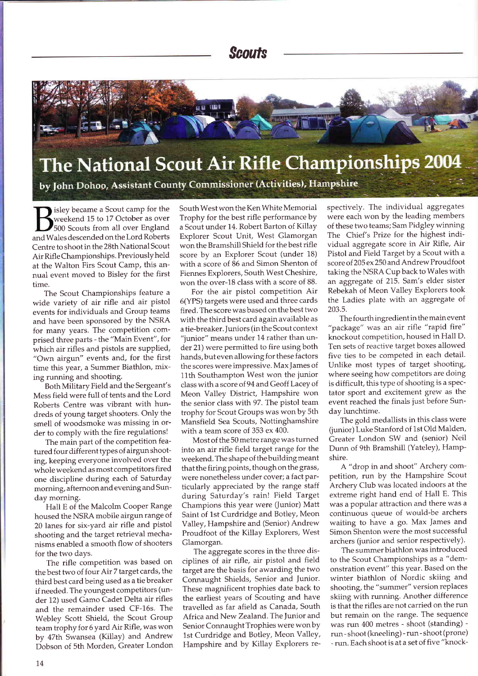

by John Dohoo, Assistant County Commissioner (Activities), Hampshire

isley became a Scout camp for the weekend 15 to 17 October as over 500 Scouts from all over England and Wales descended on the Lord Roberts Centre to shoot in the 28th National Scout Air Rifle Championships. Previously held at the Walton Firs Scout Camp, this annual event moved to Bisley for the first time.

The Scout Championships feature a wide variety of air rifle and air pistol events for individuals and Group teams and have been sponsored bY the NSRA for many years. The competition comprised three parts - the "Main Event", for which air rifles and pistols are supplied, "Own airgun" events and, for the first time this year, a Summer Biathlon, mixing running and shooting.

BothMilitary Field and the Sergeant's Mess field were full of tents and the Lord Roberts Centre was vibrant with hundreds of young target shooters. Only the smell of woodsmoke was missing in order to comply with the fire regulations!

The main part of the competition featured four different types of airgun shooting, keeping everyone involved over the whole weekend as most competitors fired one discipline during each of Saturday morning, afternoon and evening and Sunday morning.

Hall E of the Malcolm Cooper Range housed the NSRA mobile airgun range of 20 lanes for six-yard air rifle and pistol shooting and the target retrieval mechanisms enabled a smooth flow of shooters for the two days.

The rifle competition was based on the best two of four Air 7 target cards, the third best card being used as a tie breaker if needed. The youngest competitors (under 72) used Gamo Cadet Delta air rifles and the remainder used CF-16s. The Webley Scott Shield, the Scout Group team trophy for 6 yard Air Rifle, was won by 47th Swansea (Killay) and Andrew Dobson of 5th Morden, Greater London South West won the Ken White Memorial Trophy for the best rifle performance by <sup>a</sup>Scout under 14. Robert Barton of Killay Explorer Scout Unit, West Glamorgan won the Bramshill Shield for the best rifle score by an Explorer Scout (under 18) with a score of 86 and Simon Shenton of Fiennes Explorers, South West Cheshire, won the over-18 class with a score of 88.

For the air pistol competition Air 6(YPS) targets were used and three cards fired. The score was based on the best two with the third best card again available as <sup>a</sup>tie-breaker. ]uniors (in the Scout context "junior" means under 14 rather than under 21) were permitted to fire using both hands, buteven allowing for these factors the scores were impressive. Max james of 11th Southampton West won the junior class with a score of 94 and Geoff Lacey of Meon Valley District, Hampshire won the senior class with 97. The pistol team trophy for Scout Groups was wonby 5th Mansfield Sea Scouts, Nottinghamshire with a team score of 353 ex 400.

Most of the 50 metre range was turned into an air rifle field target range for the weekend. The shape of thebuildingmeant that the firing points, though on the grass, were nonetheless under cover; a fact particularly appreciated by the range staff during Saturday's rain! Field Target Champions this year were (junior) Matt Saint of 1st Curdridge and Botley, Meon Valley, Hampshire and (Senior) Andrew Proudfoot of the Killay Explorers, West Glamorgan.

The aggregate scores in the three disciplines of air rifle, air pistol and field target are the basis for awarding the two Connaught Shields, Senior and Junior' These magnificent trophies date back to the earliest years of Scouting and have travelled as far afield as Canada, South Africa and New Zealand. The Junior and Senior Connaught Trophies were won by 1st Curdridge and Botley, Meon Valley, Hampshire and by Killay Explorers respectively. The individual aggregates were each won by the leading members of these two teams; Sam Pidgley winning The Chief's Prize for the highest individual aggregate score in Air Rifle, Air Pistol and Field Target by a Scout with <sup>a</sup> score of205 ex250 and Andrew Proudfoot taking the NSRA Cup back to Wales with an aggregate of 2I5. Sam's elder sister Rebekah of Meon Valley Explorers took the Ladies plate with an aggregate of 203.5.

The fourth ingredient in the main event "package" was an air rifle "rapid fire" knockout competition, housed in Hall D. Ten sets of reactive target boxes allowed five ties to be competed in each detail. Unlike most types of target shooting, where seeing how competitors are doing is difficult, this type of shooting is a spectator sport and excitement grew as the event reached the finals just before Sunday lunchtime.

The gold medallists in this class were (junior) Luke Stanford of 1st Old Malden, Greater London SW and (senior) Neil Dunn of 9th Bramshill (Yateley), Hampshire.

A "drop in and shoot" Archery competition, run by the Hampshire Scout Archery Club was located indoors at the extreme right hand end of Hall E. This was a popular attraction and there was a continuous queue of would-be archers waiting to have a go. Max James and Simon Shenton were the most successful archers (junior and senior respectively).

The summer biathlon was introduced to the Scout Championships as a "demonstration event" this year. Based on the winter biathlon of Nordic skiing and shooting, the "summer" version replaces skiing with running. Another difference is that the rifles are not carried on the run but remain on the range. The sequence was run 400 metres - shoot (standing) run - shoot (kneeling) - run - shoot (prone) - run. Each shoot is at a set of five "knock-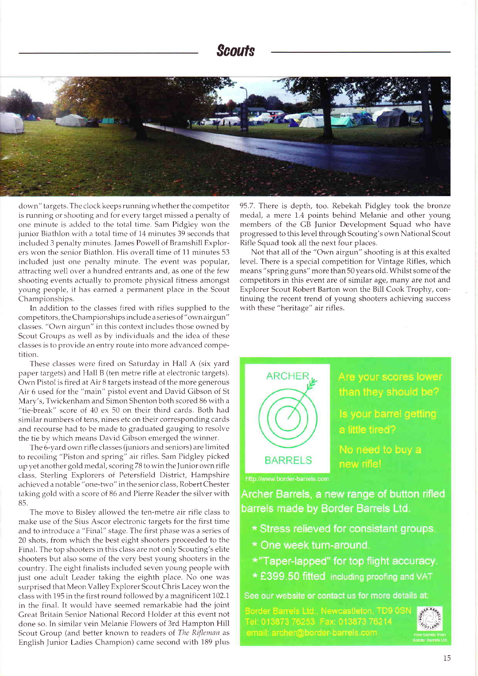

down" targets. The clock keeps running whether the competitor is running or shooting and for every target missed a penalty of one minute is added to the total time. Sam Pidgley won the junior Biathlon with a total time of 14 minutes 39 seconds that included 3 penalty minutes. James Powell of Bramshill Explorers won the senior Biathlon. His overall time of 11 minutes 53 included just one penalty minute. The event was popular, attracting well over a hundred entrants and, as one of the few shooting events actually to promote physical fitness amongst young people, it has earned a permanent place in the Scout Championships.

In addition to the classes fired with rifies supplied to the competitors, the Championships include a series of "own airgun" classes. "Own airgun" in this context includes those owned by Scout Groups as well as by individuals and the idea of these classes is to provide an entry ronte into more advanced competition.

These classes were fired on Saturday in Hall A (six yard paper targets) and Hall B (ten metre rifle at electronic targets). Own Pistol is fired at Air 8 targets instead of the more generous Air 6 used for the "main" pistol event and David Gibson of St Mary's, Twickenham and Simon Shenton both scored 86 with <sup>a</sup> "tie-break" score of 40 ex 50 on their third cards. Both had similar numbers of tens, nines etc on their corresponding cards and recourse had to be made to graduated gauging to resolve the tie by which means David Cibson emerged the winner.

The 6-yard own rifle classes (jurriors and seniors) are limited to recoiling "Piston and spring" air rifles. Sam Pidgley picked up yet another gold medal, scoring 78 to win theJunior own rifle class Sterling Explorers of Petersfield District, Hampshire achieved a notable "one-two" in the senior class, Robert Chester taking gold with a score of 86 and Pierre Reader the silver with 85.

The move to Bisley allowed the ten-metre air rifle class to make use of the Sius Ascor electronic targets for the first time and to introduce a "Final" stage. The first phase was a series of 20 shots, from which the best eight shooters proceeded to the Final. The top shooters in this class are not only Scouting's elite shooters but also some of the very best young shooters in the country. The eight finalists included seven young people with just one adult Leader taking the eighth place. No one was surprised that Meon Valley Explorer Scout Chris Lacey won the class with 195 in the first round followed by a magnificent 102.1 in the final. It would have seemed remarkable had the joint Great Britain Senior National Record Holder at this event not done so. In similar vein Melanie Flowers of 3rd Hampton Hill Scout Group (and better known to readers of The Rifleman as English Junior Ladies Champion) came second with 189 plus

95.7. There is depth, too. Rebekah Pidgley took the bronze medal, a mere 1.4 points behind Melanie and other young members of the GB Junior Development Squad who have progressed to this level through Scouting's own National Scout Rifle Squad took all the next four places.

Not that all of the "Own airgun" shooting is at this exalted level. There is a special competition for Vintage Rifles, which means "spring guns" more than 50 years old. Whilst some of the competitors in this event are of similar age, many are not and Explorer Scout Robert Barton won the Bill Cook Trophy, continuing the recent trend of young shooters achieving success with these "heritage" air rifles.



Are your scores lower than they should be?

Is your barrel getting a little tired?

new rifle!

http://www.border-barrels.com

Archer Barrels, a new range of button rifled barrels made by Border Barrels Ltd.

- \* Stress relieved for consistant groups.
- \* One week turn-around.
- \*"Taper-lapped" for top flight accuracy.
- \* £399.50 fitted including proofing and VAT

See our website or contact us for more details at:

Border Barrels Ltd., Newcastleton, TD9 0SN Tel: 013873 76253 Fax: 013873 76214 email: archer@border-barrels.com

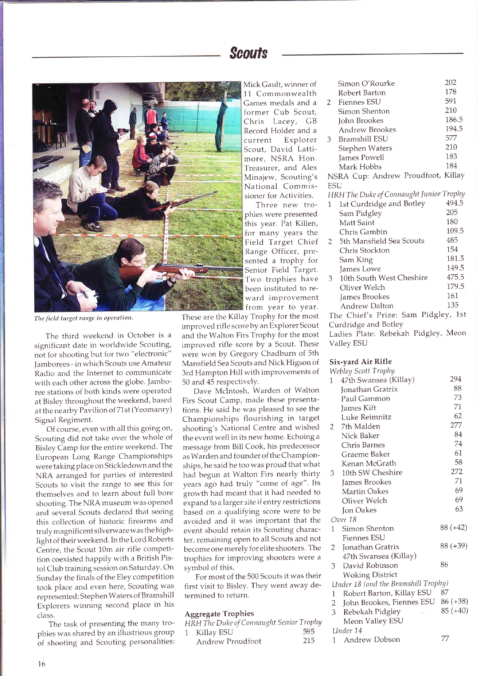

The field target range in operation.

The third weekend in October is <sup>a</sup> significant date in worldwide Scouting, not for shooting but for two "electronic" Jamborees - in which Scouts use Amateur Radio and the Internet to communicate with each other across the globe. Jamboree stations of both kinds were operated at Bisley throughout the weekend, based at the nearby Pavilion of 71st (Yeomanry) Signal Regiment.

Of course, even with all this going on, Scouting did not take over the whole of Bisley Camp for the entire weekend. The European Long Range Championships were taking place on Stickledown and the NRA arranged for parties of interested Scouts to visit the range to see this for themselves and to learn about full bore shooting. The NRA museum was opened and several Scouts declared that seeing this collection of historic firearms and truly magnificent silverware was the highlight of their weekend. In the Lord Roberts Centre, the Scout 10m air rifle competition coexisted happily with a British Pistol Club training session on Saturday. On Sunday the finals of the Eley competition took place and even here, Scouting was represented; Stephen Waters of Bramshill Explorers winning second place in his class.

The task of presenting the many trophies was shared by an iliustrious group of shooting and Scouting personalities: Mick Gault, winner of 11 Commonwealth Games medals and <sup>a</sup> former Cub Scout, Chris Lacey, GB Record Holder and <sup>a</sup> current Explorer Scout, David Lattimore, NSRA Hon. Treasurer, and Alex Minajew, Scouting's National Commissioner for Activities.

Three new trophies were presented this year. Pat Killen, for many years the Field Target Chief Range Officer, presented a trophy for Senior Field Target. Two trophies have been instituted to reward improvement from year to year.

These are the Killay Trophy for the most improved rifle score by an Explorer Scout and the Walton Firs Trophy for the most improved rifle score by a Scout. These were won by Gregory Chadburn of 5th Mansfield Sea Scouts and Nick Higson of 3rd Hampton Hill with improvements of 50 and 45 respectivelY.

Dave Mclntosh, Warden of Walton Firs Scout Camp, made these presentations. He said he was pleased to see the Championships flourishing in target shooting's National Centre and wished the event well in its new home. Echoing a message from Bill Cook, his predecessor as Warden and founder of the Championships, he said he too was proud that what had begun at Walton Firs nearly thirty years ago had truly "come of age". Its growth had meant that it had needed to expand to a larger site if entry restrictions based on a qualifying score were to be avoided and it was important that the event should retain its Scouting character, remaining open to all Scouts and not become one merely for elite shooters. The trophies for improving shooters were <sup>a</sup> symbol of this.

For most of the 500 Scouts it was their first visit to Bisley. They went away determined to return.

### **Aggregate Trophies**

| HRH The Duke of Connaught Senior Trophy |     |
|-----------------------------------------|-----|
| Killay ESU                              | 595 |
| Andrew Proudfoot                        | 215 |

|              | Simon O'Rourke                          | 202   |
|--------------|-----------------------------------------|-------|
|              | Robert Barton                           | 178   |
| $\mathbf{2}$ | <b>Fiennes ESU</b>                      | 591   |
|              | Simon Shenton                           | 210   |
|              | John Brookes                            | 186.5 |
|              | Andrew Brookes                          | 194.5 |
| 3            | <b>Bramshill ESU</b>                    | 577   |
|              | Stephen Waters                          | 210   |
|              | James Powell                            | 183   |
|              | Mark Hobbs                              | 184   |
|              | NSRA Cup: Andrew Proudfoot, Killay      |       |
| <b>ESU</b>   |                                         |       |
|              | HRH The Duke of Connaught Junior Trophy |       |
| $\mathbf{1}$ | 1st Curdridge and Botley                | 494.5 |
|              | Sam Pidgley                             | 205   |
|              | Matt Saint                              | 180   |
|              | Chris Gambin                            | 109.5 |
| 2            | 5th Mansfield Sea Scouts                | 485   |
|              | Chris Stockton                          | 154   |
|              | Sam King                                | 181.5 |
|              | James Lowe                              | 149.5 |
| 3            | 10th South West Cheshire                | 475.5 |
|              | Oliver Welch                            | 179.5 |
|              | James Brookes                           | 161   |
|              | <b>Andrew Dalton</b>                    | 135   |
|              | The Chief's Prize: Sam Pidgley, 1st     |       |
|              | Curdridge and Botley                    |       |
|              | Ladies Plate: Rebekah Pidgley, Meon     |       |
|              | Valley ESU                              |       |
|              |                                         |       |

## Six-yard Air Rifle

|                | Webley Scott Trophy                 |            |
|----------------|-------------------------------------|------------|
| $\mathbf{1}$   | 47th Swansea (Killay)               | 294        |
|                | Jonathan Gratrix                    | 88         |
|                | Paul Gammon                         | 73         |
|                | James Kift                          | 71         |
|                | Luke Reimnitz                       | 62         |
| $\overline{2}$ | - 7th Malden                        | 277        |
|                | Nick Baker                          | 84         |
|                | Chris Barnes                        | 74         |
|                | Graeme Baker                        | 61         |
|                | Kenan McGrath                       | 58         |
| 3              | 10th SW Cheshire                    | 272        |
|                | James Brookes                       | 71         |
|                | <b>Martin Oakes</b>                 | 69         |
|                | Oliver Welch                        | 69         |
|                | <b>Jon Oakes</b>                    | 63         |
|                | Over 18                             |            |
| $\mathbf{1}$   | Simon Shenton                       | 88 (+42)   |
|                | <b>Fiennes ESU</b>                  |            |
| $\overline{2}$ | Jonathan Gratrix                    | 88 (+39)   |
|                | 47th Swansea (Killay)               |            |
| 3              | David Robinson                      | 86         |
|                | <b>Woking District</b>              |            |
|                | Under 18 (and the Bramshill Trophy) |            |
| 1              | Robert Barton, Killay ESU           | 87         |
|                | 2 John Brookes, Fiennes ESU         | 86 (+38)   |
| $\overline{3}$ | Rebekah Pidgley                     | $85 (+40)$ |
|                | Meon Valley ESU                     |            |
|                | Under 14                            |            |
| 1              | Andrew Dobson                       | 77         |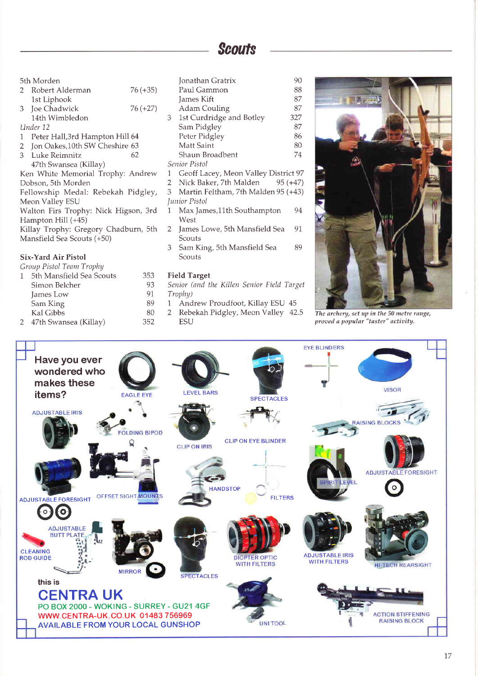5th Morden

|    | 2 Robert Alderman | $76 (+35)$ |
|----|-------------------|------------|
|    | 1st Liphook       |            |
| 3. | Joe Chadwick      | $76(+27)$  |
|    | 14th Wimbledon    |            |

Under 12

- 1 Peter Hall, 3rd Hampton Hill 64
- 2 Jon Oakes, 10th SW Cheshire 63
- 3 Luke Reimnitz 62 47th Swansea (Killay)

Ken White Memorial Trophy: Andrew Dobson. 5th Morden

Fellowship Medal: Rebekah Pidgley, Meon Valley ESU

Walton Firs Trophy: Nick Higson, 3rd Hampton Hill (+45)

Killay Trophy: Gregory Chadburn, 5th Mansfield Sea Scouts (+50)

## **Six-Yard Air Pistol**

| Group Pistol Team Trophy |  |
|--------------------------|--|
|--------------------------|--|

| 5th Mansfield Sea Scouts | 353 |
|--------------------------|-----|
| Simon Belcher            | 93  |
| James Low                | 91  |
| Sam King                 | 89  |
| Kal Gibbs                | 80  |
| 47th Swansea (Killay)    | 352 |

|   | Jonathan Gratrix                     | 90  |
|---|--------------------------------------|-----|
|   | Paul Gammon                          | 88  |
|   | James Kift                           | 87  |
|   | Adam Couling                         | 87  |
| 3 | 1st Curdridge and Botley             | 327 |
|   | Sam Pidgley                          | 87  |
|   | Peter Pidgley                        | 86  |
|   | Matt Saint                           | 80  |
|   | Shaun Broadbent                      | 74  |
|   | Senior Pistol                        |     |
|   | Geoff Lacey, Meon Valley District 97 |     |

- $\mathbf{1}$ 97
- $\overline{2}$ Nick Baker, 7th Malden  $95 (+47)$
- $3<sup>1</sup>$ Martin Feltham, 7th Malden 95 (+43) **Iunior Pistol**
- $\mathbf{1}$ Max James, 11th Southampton 94 West
- $\overline{2}$ James Lowe, 5th Mansfield Sea 91 Scouts
- 3 Sam King, 5th Mansfield Sea 89 Scouts

## **Field Target**

- Senior (and the Killen Senior Field Target Trophy)
- Andrew Proudfoot, Killay ESU 45  $\mathbf{1}$
- 2 Rebekah Pidgley, Meon Valley 42.5 **ESU**



The archery, set up in the 50 metre range, proved a popular "taster" activity.